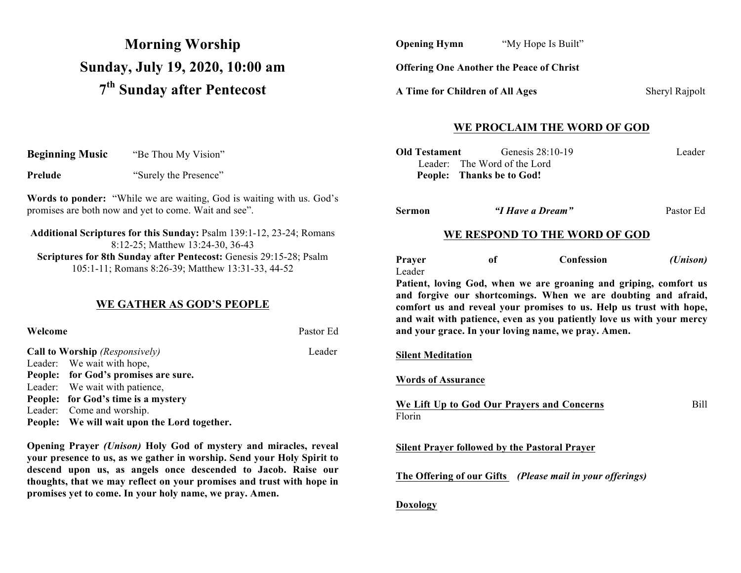# **Morning Worship Sunday, July 19, 2020, 10:00 am 7th Sunday after Pentecost**

**Beginning Music** "Be Thou My Vision"

**Prelude** "Surely the Presence"

**Words to ponder:** "While we are waiting, God is waiting with us. God's promises are both now and yet to come. Wait and see".

**Additional Scriptures for this Sunday:** Psalm 139:1-12, 23-24; Romans 8:12-25; Matthew 13:24-30, 36-43 **Scriptures for 8th Sunday after Pentecost:** Genesis 29:15-28; Psalm 105:1-11; Romans 8:26-39; Matthew 13:31-33, 44-52

#### **WE GATHER AS GOD'S PEOPLE**

**promises yet to come. In your holy name, we pray. Amen.**

| Welcome                                                                                                                                    | Pastor Ed | and your grace. In your loving name, we pray. Amen.       |  |
|--------------------------------------------------------------------------------------------------------------------------------------------|-----------|-----------------------------------------------------------|--|
| <b>Call to Worship</b> ( <i>Responsively</i> )<br>Leader: We wait with hope,                                                               | Leader    | <b>Silent Meditation</b>                                  |  |
| People: for God's promises are sure.<br>Leader: We wait with patience,                                                                     |           | <b>Words of Assurance</b>                                 |  |
| People: for God's time is a mystery<br>Leader: Come and worship.<br>People: We will wait upon the Lord together.                           |           | We Lift Up to God Our Prayers and Concerns<br>Florin      |  |
| Opening Prayer (Unison) Holy God of mystery and miracles, reveal<br>your presence to us, as we gather in worship. Send your Holy Spirit to |           | <b>Silent Prayer followed by the Pastoral Prayer</b>      |  |
| descend upon us, as angels once descended to Jacob. Raise our<br>thoughts, that we may reflect on your promises and trust with hope in     |           | The Offering of our Gifts (Please mail in your offerings) |  |

#### **Doxology**

**Opening Hymn** 
"My Hope Is Built"

**Offering One Another the Peace of Christ**

**A Time for Children of All Ages** Sheryl Rajpolt

#### **WE PROCLAIM THE WORD OF GOD**

| <b>Old Testament</b> | Genesis $28:10-19$           | Leader |
|----------------------|------------------------------|--------|
|                      | Leader: The Word of the Lord |        |
|                      | People: Thanks be to God!    |        |

| Sermon | "I Have a Dream" | Pastor Ed |
|--------|------------------|-----------|
|        |                  |           |

#### **WE RESPOND TO THE WORD OF GOD**

| Prayer | of | Confession | (Unison) |
|--------|----|------------|----------|
| Leader |    |            |          |

**Patient, loving God, when we are groaning and griping, comfort us and forgive our shortcomings. When we are doubting and afraid, comfort us and reveal your promises to us. Help us trust with hope, and wait with patience, even as you patiently love us with your mercy and your loving name, we pray. Amen.** 

**Prayers and Concerns Bill**